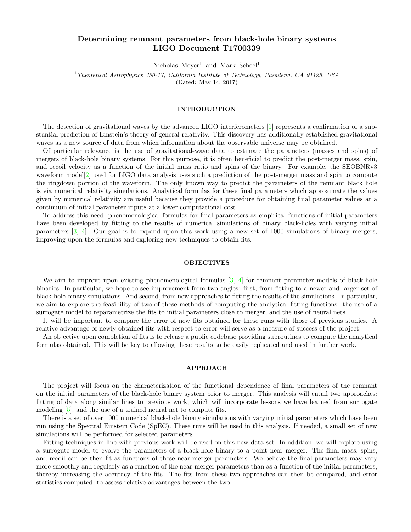# Determining remnant parameters from black-hole binary systems LIGO Document T1700339

Nicholas  $Meyer<sup>1</sup>$  and Mark Scheel<sup>1</sup>

<sup>1</sup> Theoretical Astrophysics 350-17, California Institute of Technology, Pasadena, CA 91125, USA (Dated: May 14, 2017)

## INTRODUCTION

The detection of gravitational waves by the advanced LIGO interferometers [\[1\]](#page-2-0) represents a confirmation of a substantial prediction of Einstein's theory of general relativity. This discovery has additionally established gravitational waves as a new source of data from which information about the observable universe may be obtained.

Of particular relevance is the use of gravitational-wave data to estimate the parameters (masses and spins) of mergers of black-hole binary systems. For this purpose, it is often beneficial to predict the post-merger mass, spin, and recoil velocity as a function of the initial mass ratio and spins of the binary. For example, the SEOBNRv3 waveform model<sup>[\[2\]](#page-2-1)</sup> used for LIGO data analysis uses such a prediction of the post-merger mass and spin to compute the ringdown portion of the waveform. The only known way to predict the parameters of the remnant black hole is via numerical relativity simulations. Analytical formulas for these final parameters which approximate the values given by numerical relativity are useful because they provide a procedure for obtaining final parameter values at a continuum of initial parameter inputs at a lower computational cost.

To address this need, phenomenological formulas for final parameters as empirical functions of initial parameters have been developed by fitting to the results of numerical simulations of binary black-holes with varying initial parameters [\[3,](#page-2-2) [4\]](#page-2-3). Our goal is to expand upon this work using a new set of 1000 simulations of binary mergers, improving upon the formulas and exploring new techniques to obtain fits.

#### **OBJECTIVES**

We aim to improve upon existing phenomenological formulas  $[3, 4]$  $[3, 4]$  $[3, 4]$  for remnant parameter models of black-hole binaries. In particular, we hope to see improvement from two angles: first, from fitting to a newer and larger set of black-hole binary simulations. And second, from new approaches to fitting the results of the simulations. In particular, we aim to explore the feasibility of two of these methods of computing the analytical fitting functions: the use of a surrogate model to reparametrize the fits to initial parameters close to merger, and the use of neural nets.

It will be important to compare the error of new fits obtained for these runs with those of previous studies. A relative advantage of newly obtained fits with respect to error will serve as a measure of success of the project.

An objective upon completion of fits is to release a public codebase providing subroutines to compute the analytical formulas obtained. This will be key to allowing these results to be easily replicated and used in further work.

#### APPROACH

The project will focus on the characterization of the functional dependence of final parameters of the remnant on the initial parameters of the black-hole binary system prior to merger. This analysis will entail two approaches: fitting of data along similar lines to previous work, which will incorporate lessons we have learned from surrogate modeling [\[5\]](#page-2-4), and the use of a trained neural net to compute fits.

There is a set of over 1000 numerical black-hole binary simulations with varying initial parameters which have been run using the Spectral Einstein Code (SpEC). These runs will be used in this analysis. If needed, a small set of new simulations will be performed for selected parameters.

Fitting techniques in line with previous work will be used on this new data set. In addition, we will explore using a surrogate model to evolve the parameters of a black-hole binary to a point near merger. The final mass, spins, and recoil can be then fit as functions of these near-merger parameters. We believe the final parameters may vary more smoothly and regularly as a function of the near-merger parameters than as a function of the initial parameters, thereby increasing the accuracy of the fits. The fits from these two approaches can then be compared, and error statistics computed, to assess relative advantages between the two.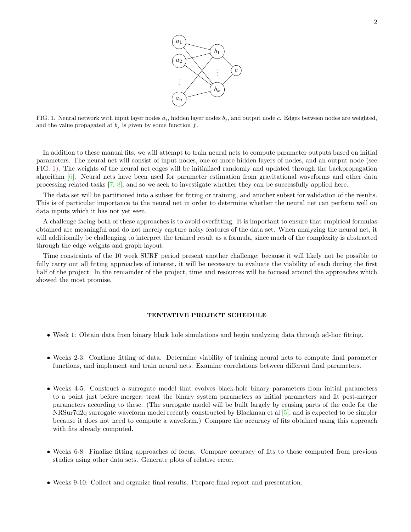

<span id="page-1-0"></span>FIG. 1. Neural network with input layer nodes  $a_i$ , hidden layer nodes  $b_j$ , and output node c. Edges between nodes are weighted, and the value propagated at  $b_j$  is given by some function  $f$ .

In addition to these manual fits, we will attempt to train neural nets to compute parameter outputs based on initial parameters. The neural net will consist of input nodes, one or more hidden layers of nodes, and an output node (see FIG. [1\)](#page-1-0). The weights of the neural net edges will be initialized randomly and updated through the backpropagation algorithm [\[6\]](#page-2-5). Neural nets have been used for parameter estimation from gravitational waveforms and other data processing related tasks [\[7,](#page-2-6) [8\]](#page-2-7), and so we seek to investigate whether they can be successfully applied here.

The data set will be partitioned into a subset for fitting or training, and another subset for validation of the results. This is of particular importance to the neural net in order to determine whether the neural net can perform well on data inputs which it has not yet seen.

A challenge facing both of these approaches is to avoid overfitting. It is important to ensure that empirical formulas obtained are meaningful and do not merely capture noisy features of the data set. When analyzing the neural net, it will additionally be challenging to interpret the trained result as a formula, since much of the complexity is abstracted through the edge weights and graph layout.

Time constraints of the 10 week SURF period present another challenge; because it will likely not be possible to fully carry out all fitting approaches of interest, it will be necessary to evaluate the viability of each during the first half of the project. In the remainder of the project, time and resources will be focused around the approaches which showed the most promise.

# TENTATIVE PROJECT SCHEDULE

- Week 1: Obtain data from binary black hole simulations and begin analyzing data through ad-hoc fitting.
- Weeks 2-3: Continue fitting of data. Determine viability of training neural nets to compute final parameter functions, and implement and train neural nets. Examine correlations between different final parameters.
- Weeks 4-5: Construct a surrogate model that evolves black-hole binary parameters from initial parameters to a point just before merger; treat the binary system parameters as initial parameters and fit post-merger parameters according to these. (The surrogate model will be built largely by reusing parts of the code for the NRSur7d2q surrogate waveform model recently constructed by Blackman et al [\[5\]](#page-2-4), and is expected to be simpler because it does not need to compute a waveform.) Compare the accuracy of fits obtained using this approach with fits already computed.
- Weeks 6-8: Finalize fitting approaches of focus. Compare accuracy of fits to those computed from previous studies using other data sets. Generate plots of relative error.
- Weeks 9-10: Collect and organize final results. Prepare final report and presentation.